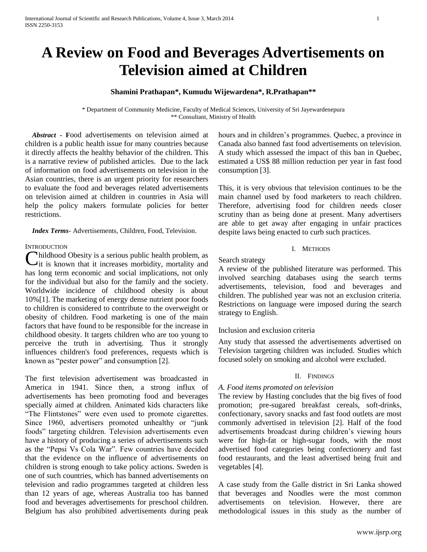# **A Review on Food and Beverages Advertisements on Television aimed at Children**

## **Shamini Prathapan\*, Kumudu Wijewardena\*, R.Prathapan\*\***

\* Department of Community Medicine, Faculty of Medical Sciences, University of Sri Jayewardenepura \*\* Consultant, Ministry of Health

 *Abstract* **- F**ood advertisements on television aimed at children is a public health issue for many countries because it directly affects the healthy behavior of the children. This is a narrative review of published articles. Due to the lack of information on food advertisements on television in the Asian countries, there is an urgent priority for researchers to evaluate the food and beverages related advertisements on television aimed at children in countries in Asia will help the policy makers formulate policies for better restrictions.

 *Index Terms*- Advertisements, Children, Food, Television.

#### **INTRODUCTION**

hildhood Obesity is a serious public health problem, as Childhood Obesity is a serious public health problem, as<br>Cit is known that it increases morbidity, mortality and has long term economic and social implications, not only for the individual but also for the family and the society. Worldwide incidence of childhood obesity is about 10%[1]. The marketing of energy dense nutrient poor foods to children is considered to contribute to the overweight or obesity of children. Food marketing is one of the main factors that have found to be responsible for the increase in childhood obesity. It targets children who are too young to perceive the truth in advertising. Thus it strongly influences children's food preferences, requests which is known as "pester power" and consumption [2].

The first television advertisement was broadcasted in America in 1941. Since then, a strong influx of advertisements has been promoting food and beverages specially aimed at children. Animated kids characters like "The Flintstones" were even used to promote cigarettes. Since 1960, advertisers promoted unhealthy or "junk foods" targeting children. Television advertisements even have a history of producing a series of advertisements such as the "Pepsi Vs Cola War". Few countries have decided that the evidence on the influence of advertisements on children is strong enough to take policy actions. Sweden is one of such countries, which has banned advertisements on television and radio programmes targeted at children less than 12 years of age, whereas Australia too has banned food and beverages advertisements for preschool children. Belgium has also prohibited advertisements during peak hours and in children's programmes. Quebec, a province in Canada also banned fast food advertisements on television. A study which assessed the impact of this ban in Quebec, estimated a US\$ 88 million reduction per year in fast food consumption [3].

This, it is very obvious that television continues to be the main channel used by food marketers to reach children. Therefore, advertising food for children needs closer scrutiny than as being done at present. Many advertisers are able to get away after engaging in unfair practices despite laws being enacted to curb such practices.

## I. METHODS

#### Search strategy

A review of the published literature was performed. This involved searching databases using the search terms advertisements, television, food and beverages and children. The published year was not an exclusion criteria. Restrictions on language were imposed during the search strategy to English.

## Inclusion and exclusion criteria

Any study that assessed the advertisements advertised on Television targeting children was included. Studies which focused solely on smoking and alcohol were excluded.

#### II. FINDINGS

## *A. Food items promoted on television*

The review by Hasting concludes that the big fives of food promotion; pre-sugared breakfast cereals, soft-drinks, confectionary, savory snacks and fast food outlets are most commonly advertised in television [2]. Half of the food advertisements broadcast during children's viewing hours were for high-fat or high-sugar foods, with the most advertised food categories being confectionery and fast food restaurants, and the least advertised being fruit and vegetables [4].

A case study from the Galle district in Sri Lanka showed that beverages and Noodles were the most common advertisements on television. However, there are methodological issues in this study as the number of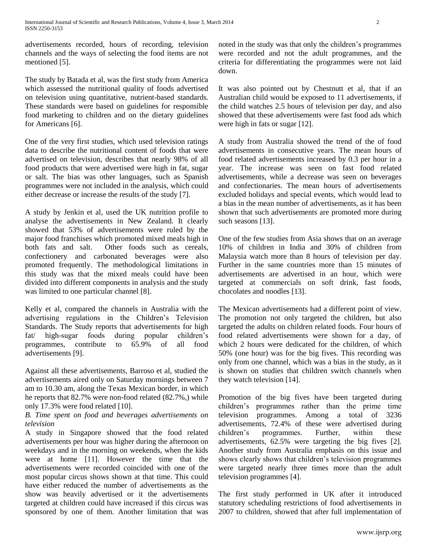advertisements recorded, hours of recording, television channels and the ways of selecting the food items are not mentioned [5].

The study by Batada et al, was the first study from America which assessed the nutritional quality of foods advertised on television using quantitative, nutrient-based standards. These standards were based on guidelines for responsible food marketing to children and on the dietary guidelines for Americans [6].

One of the very first studies, which used television ratings data to describe the nutritional content of foods that were advertised on television, describes that nearly 98% of all food products that were advertised were high in fat, sugar or salt. The bias was other languages, such as Spanish programmes were not included in the analysis, which could either decrease or increase the results of the study [7].

A study by Jenkin et al, used the UK nutrition profile to analyse the advertisements in New Zealand. It clearly showed that 53% of advertisements were ruled by the major food franchises which promoted mixed meals high in both fats and salt. Other foods such as cereals, confectionery and carbonated beverages were also promoted frequently. The methodological limitations in this study was that the mixed meals could have been divided into different components in analysis and the study was limited to one particular channel [8].

Kelly et al, compared the channels in Australia with the advertising regulations in the Children's Television Standards. The Study reports that advertisements for high fat/ high-sugar foods during popular children's programmes, contribute to 65.9% of all food advertisements [9].

Against all these advertisements, Barroso et al, studied the advertisements aired only on Saturday mornings between 7 am to 10.30 am, along the Texas Mexican border, in which he reports that 82.7% were non-food related (82.7%,) while only 17.3% were food related [10].

## *B. Time spent on food and beverages advertisements on television*

A study in Singapore showed that the food related advertisements per hour was higher during the afternoon on weekdays and in the morning on weekends, when the kids were at home [11]. However the time that the advertisements were recorded coincided with one of the most popular circus shows shown at that time. This could have either reduced the number of advertisements as the show was heavily advertised or it the advertisements targeted at children could have increased if this circus was sponsored by one of them. Another limitation that was noted in the study was that only the children's programmes were recorded and not the adult programmes, and the criteria for differentiating the programmes were not laid down.

It was also pointed out by Chestnutt et al, that if an Australian child would be exposed to 11 advertisements, if the child watches 2.5 hours of television per day, and also showed that these advertisements were fast food ads which were high in fats or sugar [12].

A study from Australia showed the trend of the of food advertisements in consecutive years. The mean hours of food related advertisements increased by 0.3 per hour in a year. The increase was seen on fast food related advertisements, while a decrease was seen on beverages and confectionaries. The mean hours of advertisements excluded holidays and special events, which would lead to a bias in the mean number of advertisements, as it has been shown that such advertisements are promoted more during such seasons [13].

One of the few studies from Asia shows that on an average 10% of children in India and 30% of children from Malaysia watch more than 8 hours of television per day. Further in the same countries more than 15 minutes of advertisements are advertised in an hour, which were targeted at commercials on soft drink, fast foods, chocolates and noodles [13].

The Mexican advertisements had a different point of view. The promotion not only targeted the children, but also targeted the adults on children related foods. Four hours of food related advertisements were shown for a day, of which 2 hours were dedicated for the children, of which 50% (one hour) was for the big fives. This recording was only from one channel, which was a bias in the study, as it is shown on studies that children switch channels when they watch television [14].

Promotion of the big fives have been targeted during children's programmes rather than the prime time television programmes. Among a total of 3236 advertisements, 72.4% of these were advertised during children's programmes. Further, within these advertisements, 62.5% were targeting the big fives [2]. Another study from Australia emphasis on this issue and shows clearly shows that children's television programmes were targeted nearly three times more than the adult television programmes [4].

The first study performed in UK after it introduced statutory scheduling restrictions of food advertisements in 2007 to children, showed that after full implementation of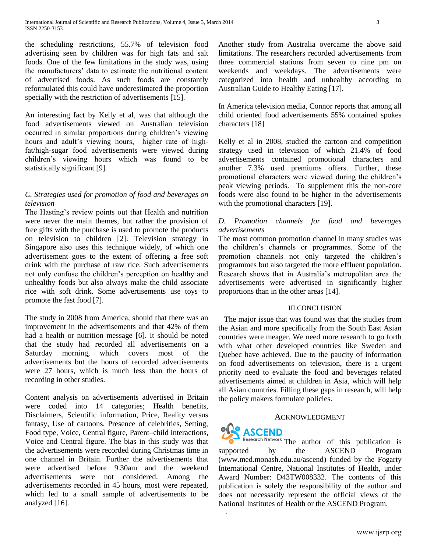the scheduling restrictions, 55.7% of television food advertising seen by children was for high fats and salt foods. One of the few limitations in the study was, using the manufacturers' data to estimate the nutritional content of advertised foods. As such foods are constantly reformulated this could have underestimated the proportion specially with the restriction of advertisements [15].

An interesting fact by Kelly et al, was that although the food advertisements viewed on Australian television occurred in similar proportions during children's viewing hours and adult's viewing hours, higher rate of highfat/high-sugar food advertisements were viewed during children's viewing hours which was found to be statistically significant [9].

## *C. Strategies used for promotion of food and beverages on television*

The Hasting's review points out that Health and nutrition were never the main themes, but rather the provision of free gifts with the purchase is used to promote the products on television to children [2]. Television strategy in Singapore also uses this technique widely, of which one advertisement goes to the extent of offering a free soft drink with the purchase of raw rice. Such advertisements not only confuse the children's perception on healthy and unhealthy foods but also always make the child associate rice with soft drink. Some advertisements use toys to promote the fast food [7].

The study in 2008 from America, should that there was an improvement in the advertisements and that 42% of them had a health or nutrition message [6]. It should be noted that the study had recorded all advertisements on a Saturday morning, which covers most of the advertisements but the hours of recorded advertisements were 27 hours, which is much less than the hours of recording in other studies.

Content analysis on advertisements advertised in Britain were coded into 14 categories; Health benefits, Disclaimers, Scientific information, Price, Reality versus fantasy, Use of cartoons, Presence of celebrities, Setting, Food type, Voice, Central figure, Parent–child interactions, Voice and Central figure. The bias in this study was that the advertisements were recorded during Christmas time in one channel in Britain. Further the advertisements that were advertised before 9.30am and the weekend advertisements were not considered. Among the advertisements recorded in 45 hours, most were repeated, which led to a small sample of advertisements to be analyzed [16].

Another study from Australia overcame the above said limitations. The researchers recorded advertisements from three commercial stations from seven to nine pm on weekends and weekdays. The advertisements were categorized into health and unhealthy according to Australian Guide to Healthy Eating [17].

In America television media, Connor reports that among all child oriented food advertisements 55% contained spokes characters [18]

Kelly et al in 2008, studied the cartoon and competition strategy used in television of which 21.4% of food advertisements contained promotional characters and another 7.3% used premiums offers. Further, these promotional characters were viewed during the children's peak viewing periods. To supplement this the non-core foods were also found to be higher in the advertisements with the promotional characters [19].

## *D. Promotion channels for food and beverages advertisements*

The most common promotion channel in many studies was the children's channels or programmes. Some of the promotion channels not only targeted the children's programmes but also targeted the more effluent population. Research shows that in Australia's metropolitan area the advertisements were advertised in significantly higher proportions than in the other areas [14].

## III.CONCLUSION

 The major issue that was found was that the studies from the Asian and more specifically from the South East Asian countries were meager. We need more research to go forth with what other developed countries like Sweden and Quebec have achieved. Due to the paucity of information on food advertisements on television, there is a urgent priority need to evaluate the food and beverages related advertisements aimed at children in Asia, which will help all Asian countries. Filling these gaps in research, will help the policy makers formulate policies.

## ACKNOWLEDGMENT

## **ASCEND**

.

Research Network The author of this publication is supported by the ASCEND Program [\(www.med.monash.edu.au/ascend\)](http://www.med.monash.edu.au/ascend) funded by the Fogarty International Centre, National Institutes of Health, under Award Number: D43TW008332. The contents of this publication is solely the responsibility of the author and does not necessarily represent the official views of the National Institutes of Health or the ASCEND Program.